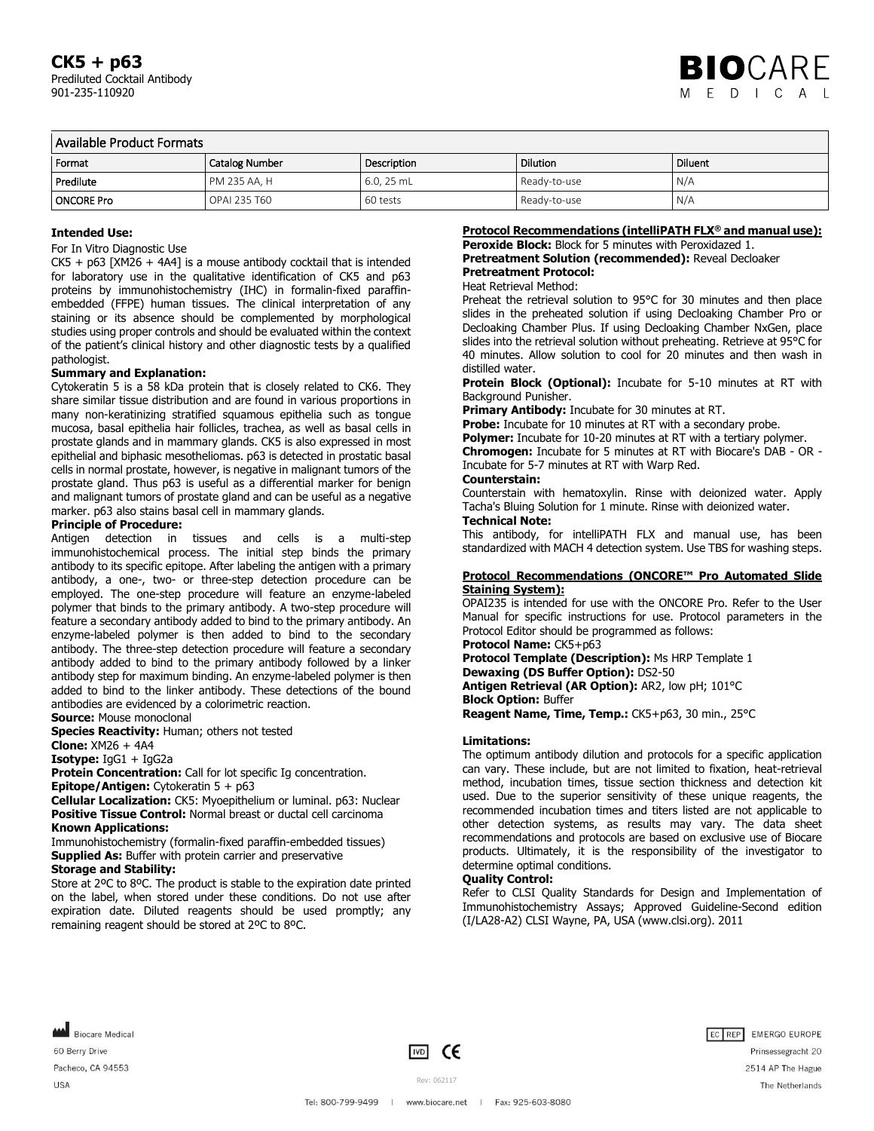| l Available Product Formats |                       |             |                 |                |
|-----------------------------|-----------------------|-------------|-----------------|----------------|
| l Format                    | <b>Catalog Number</b> | Description | <b>Dilution</b> | <b>Diluent</b> |
| Predilute                   | PM 235 AA. H          | $6.0.25$ mL | Ready-to-use    | N/A            |
| ONCORE Pro                  | OPAL 235 T60          | 60 tests    | Ready-to-use    | N/A            |

### **Intended Use:**

#### For In Vitro Diagnostic Use

 $CK5 + p63$  [XM26 + 4A4] is a mouse antibody cocktail that is intended for laboratory use in the qualitative identification of CK5 and p63 proteins by immunohistochemistry (IHC) in formalin-fixed paraffinembedded (FFPE) human tissues. The clinical interpretation of any staining or its absence should be complemented by morphological studies using proper controls and should be evaluated within the context of the patient's clinical history and other diagnostic tests by a qualified pathologist.

#### **Summary and Explanation:**

Cytokeratin 5 is a 58 kDa protein that is closely related to CK6. They share similar tissue distribution and are found in various proportions in many non-keratinizing stratified squamous epithelia such as tongue mucosa, basal epithelia hair follicles, trachea, as well as basal cells in prostate glands and in mammary glands. CK5 is also expressed in most epithelial and biphasic mesotheliomas. p63 is detected in prostatic basal cells in normal prostate, however, is negative in malignant tumors of the prostate gland. Thus p63 is useful as a differential marker for benign and malignant tumors of prostate gland and can be useful as a negative marker. p63 also stains basal cell in mammary glands.

#### **Principle of Procedure:**

Antigen detection in tissues and cells is a multi-step immunohistochemical process. The initial step binds the primary antibody to its specific epitope. After labeling the antigen with a primary antibody, a one-, two- or three-step detection procedure can be employed. The one-step procedure will feature an enzyme-labeled polymer that binds to the primary antibody. A two-step procedure will feature a secondary antibody added to bind to the primary antibody. An enzyme-labeled polymer is then added to bind to the secondary antibody. The three-step detection procedure will feature a secondary antibody added to bind to the primary antibody followed by a linker antibody step for maximum binding. An enzyme-labeled polymer is then added to bind to the linker antibody. These detections of the bound antibodies are evidenced by a colorimetric reaction.

**Source:** Mouse monoclonal

**Species Reactivity: Human; others not tested** 

**Clone:** XM26 + 4A4

**Isotype:** IgG1 + IgG2a

**Protein Concentration:** Call for lot specific Ig concentration. **Epitope/Antigen:** Cytokeratin 5 + p63

**Cellular Localization:** CK5: Myoepithelium or luminal. p63: Nuclear **Positive Tissue Control:** Normal breast or ductal cell carcinoma **Known Applications:**

Immunohistochemistry (formalin-fixed paraffin-embedded tissues) **Supplied As:** Buffer with protein carrier and preservative

# **Storage and Stability:**

Store at 2ºC to 8ºC. The product is stable to the expiration date printed on the label, when stored under these conditions. Do not use after expiration date. Diluted reagents should be used promptly; any remaining reagent should be stored at 2ºC to 8ºC.

### **Protocol Recommendations (intelliPATH FLX® and manual use):**

**Peroxide Block:** Block for 5 minutes with Peroxidazed 1. **Pretreatment Solution (recommended):** Reveal Decloaker **Pretreatment Protocol:**

#### Heat Retrieval Method:

Preheat the retrieval solution to 95°C for 30 minutes and then place slides in the preheated solution if using Decloaking Chamber Pro or Decloaking Chamber Plus. If using Decloaking Chamber NxGen, place slides into the retrieval solution without preheating. Retrieve at 95°C for 40 minutes. Allow solution to cool for 20 minutes and then wash in distilled water.

**Protein Block (Optional):** Incubate for 5-10 minutes at RT with Background Punisher.

**Primary Antibody:** Incubate for 30 minutes at RT.

Probe: Incubate for 10 minutes at RT with a secondary probe.

**Polymer:** Incubate for 10-20 minutes at RT with a tertiary polymer. **Chromogen:** Incubate for 5 minutes at RT with Biocare's DAB - OR - Incubate for 5-7 minutes at RT with Warp Red.

#### **Counterstain:**

Counterstain with hematoxylin. Rinse with deionized water. Apply Tacha's Bluing Solution for 1 minute. Rinse with deionized water. **Technical Note:**

This antibody, for intelliPATH FLX and manual use, has been standardized with MACH 4 detection system. Use TBS for washing steps.

### **Protocol Recommendations (ONCORE™ Pro Automated Slide Staining System):**

OPAI235 is intended for use with the ONCORE Pro. Refer to the User Manual for specific instructions for use. Protocol parameters in the Protocol Editor should be programmed as follows:

# **Protocol Name:** CK5+p63

**Protocol Template (Description):** Ms HRP Template 1 **Dewaxing (DS Buffer Option):** DS2-50 **Antigen Retrieval (AR Option):** AR2, low pH; 101°C **Block Option:** Buffer

**Reagent Name, Time, Temp.:** CK5+p63, 30 min., 25°C

### **Limitations:**

The optimum antibody dilution and protocols for a specific application can vary. These include, but are not limited to fixation, heat-retrieval method, incubation times, tissue section thickness and detection kit used. Due to the superior sensitivity of these unique reagents, the recommended incubation times and titers listed are not applicable to other detection systems, as results may vary. The data sheet recommendations and protocols are based on exclusive use of Biocare products. Ultimately, it is the responsibility of the investigator to determine optimal conditions.

### **Quality Control:**

Refer to CLSI Quality Standards for Design and Implementation of Immunohistochemistry Assays; Approved Guideline-Second edition (I/LA28-A2) CLSI Wayne, PA, USA (www.clsi.org). 2011